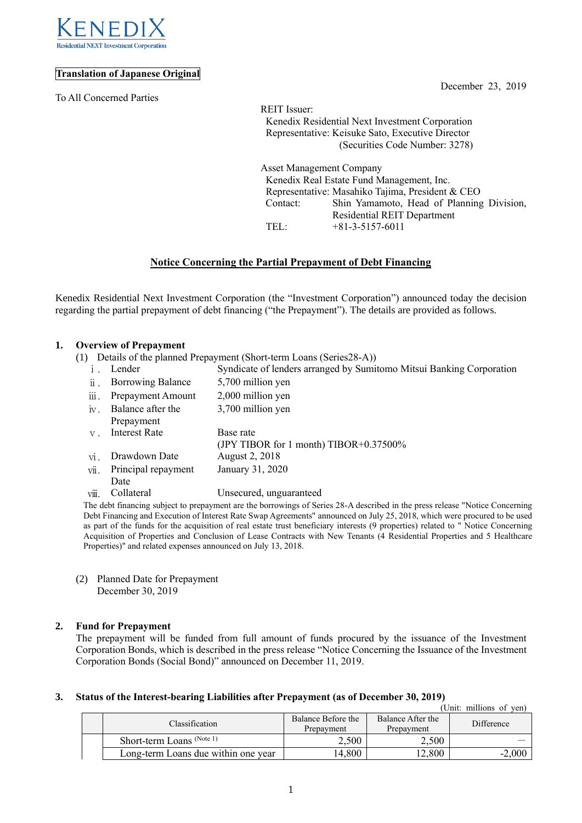

# **Translation of Japanese Original**

To All Concerned Parties

December 23, 2019

REIT Issuer: Kenedix Residential Next Investment Corporation Representative: Keisuke Sato, Executive Director (Securities Code Number: 3278)

Asset Management Company Kenedix Real Estate Fund Management, Inc. Representative: Masahiko Tajima, President & CEO Contact: Shin Yamamoto, Head of Planning Division, Residential REIT Department TEL: +81-3-5157-6011

# **Notice Concerning the Partial Prepayment of Debt Financing**

Kenedix Residential Next Investment Corporation (the "Investment Corporation") announced today the decision regarding the partial prepayment of debt financing ("the Prepayment"). The details are provided as follows.

## **1. Overview of Prepayment**

- (1) Details of the planned Prepayment (Short-term Loans (Series28-A))
	- ⅰ. Lender Syndicate of lenders arranged by Sumitomo Mitsui Banking Corporation

| $\ddot{\mathbf{u}}$ .  | <b>Borrowing Balance</b> | 5,700 million yen                                   |
|------------------------|--------------------------|-----------------------------------------------------|
| $\dddot{\mathbf{m}}$ . | Prepayment Amount        | 2,000 million yen                                   |
| $iv$ .                 | Balance after the        | 3,700 million yen                                   |
|                        | Prepayment               |                                                     |
| $V$ .                  | <b>Interest Rate</b>     | Base rate<br>(JPY TIBOR for 1 month) TIBOR+0.37500% |
| vi.                    | Drawdown Date            | August 2, 2018                                      |
| vii.                   | Principal repayment      | January 31, 2020                                    |
|                        | Date                     |                                                     |
| viii.                  | Collateral               | Unsecured, unguaranteed                             |
|                        |                          |                                                     |

The debt financing subject to prepayment are the borrowings of Series 28-A described in the press release "Notice Concerning Debt Financing and Execution of Interest Rate Swap Agreements" announced on July 25, 2018, which were procured to be used as part of the funds for the acquisition of real estate trust beneficiary interests (9 properties) related to " Notice Concerning Acquisition of Properties and Conclusion of Lease Contracts with New Tenants (4 Residential Properties and 5 Healthcare Properties)" and related expenses announced on July 13, 2018.

(2) Planned Date for Prepayment December 30, 2019

## **2. Fund for Prepayment**

The prepayment will be funded from full amount of funds procured by the issuance of the Investment Corporation Bonds, which is described in the press release "Notice Concerning the Issuance of the Investment Corporation Bonds (Social Bond)" announced on December 11, 2019.

#### **3. Status of the Interest-bearing Liabilities after Prepayment (as of December 30, 2019)**

|  |                                     |                                  |                                 | (Unit: millions of yen) |
|--|-------------------------------------|----------------------------------|---------------------------------|-------------------------|
|  | Classification                      | Balance Before the<br>Prepayment | Balance After the<br>Prepayment | Difference              |
|  | Short-term Loans (Note 1)           | 2,500                            | 2.500                           |                         |
|  | Long-term Loans due within one year | 14,800                           | 12,800                          | $-2,000$                |